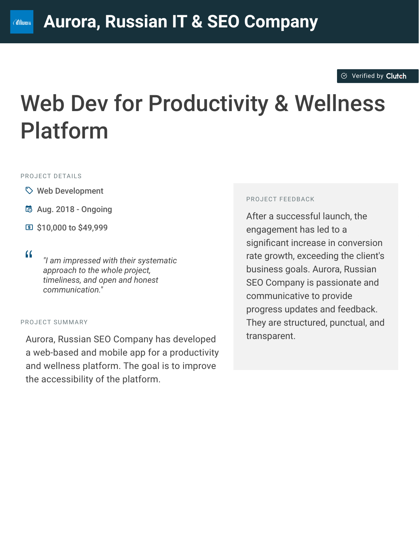#### $\otimes$  [Verified by](https://clutch.co?utm_source=case_studies&utm_medium=verified_by_clutch) Clutch

# Web Dev for Productivity & Wellness Platform

#### PROJECT DETAILS

- $\heartsuit$  Web Development
- B Aug. 2018 Ongoing
- C \$10,000 to \$49,999

<sup>D</sup> *"I am impressed with their systematic approach to the whole project, timeliness, and open and honest communication."*

#### PROJECT SUMMARY

Aurora, Russian SEO Company has developed a web-based and mobile app for a productivity and wellness platform. The goal is to improve the accessibility of the platform.

#### PROJECT FEEDBACK

After a successful launch, the engagement has led to a significant increase in conversion rate growth, exceeding the client's business goals. Aurora, Russian SEO Company is passionate and communicative to provide progress updates and feedback. They are structured, punctual, and transparent.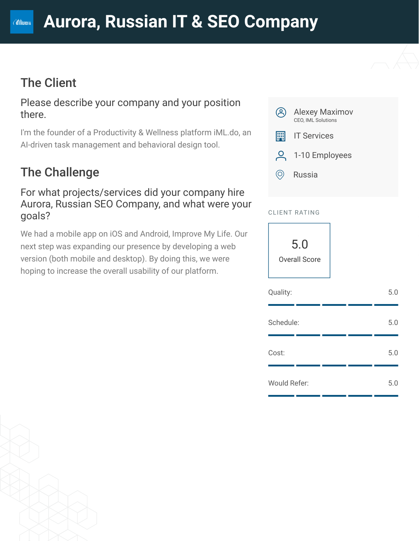## The Client

**CAURORA** 

Please describe your company and your position there.

I'm the founder of a Productivity & Wellness platform iML.do, an AI-driven task management and behavioral design tool.

## The Challenge

For what projects/services did your company hire Aurora, Russian SEO Company, and what were your goals?

We had a mobile app on iOS and Android, Improve My Life. Our next step was expanding our presence by developing a web version (both mobile and desktop). By doing this, we were hoping to increase the overall usability of our platform.



#### CLIENT RATING

5.0 Overall Score

| Quality:     |  | 5.0 |
|--------------|--|-----|
| Schedule:    |  | 5.0 |
| Cost:        |  | 5.0 |
| Would Refer: |  | 5.0 |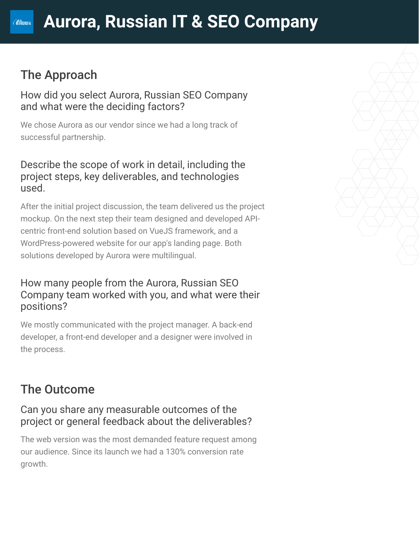## The Approach

**CAURORA** 

How did you select Aurora, Russian SEO Company and what were the deciding factors?

We chose Aurora as our vendor since we had a long track of successful partnership.

#### Describe the scope of work in detail, including the project steps, key deliverables, and technologies used.

After the initial project discussion, the team delivered us the project mockup. On the next step their team designed and developed APIcentric front-end solution based on VueJS framework, and a WordPress-powered website for our app's landing page. Both solutions developed by Aurora were multilingual.

### How many people from the Aurora, Russian SEO Company team worked with you, and what were their positions?

We mostly communicated with the project manager. A back-end developer, a front-end developer and a designer were involved in the process.

## The Outcome

#### Can you share any measurable outcomes of the project or general feedback about the deliverables?

The web version was the most demanded feature request among our audience. Since its launch we had a 130% conversion rate growth.